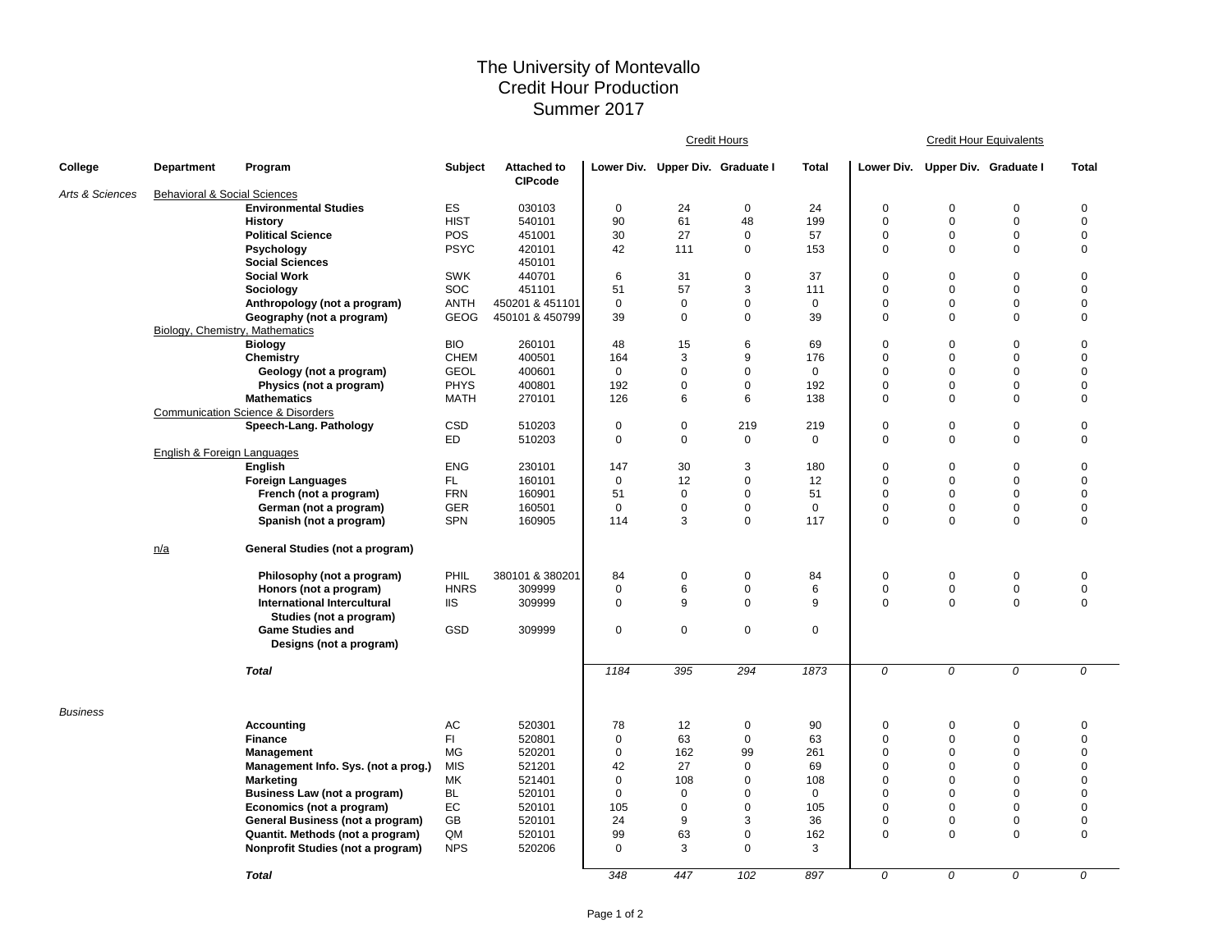## The University of Montevallo Credit Hour Production Summer 2017

|                 |                                         |                                                    |                |                                      |             |                                  | <u> Credit Hours</u> |              | <b>Credit Hour Equivalents</b> |                                  |             |                  |  |
|-----------------|-----------------------------------------|----------------------------------------------------|----------------|--------------------------------------|-------------|----------------------------------|----------------------|--------------|--------------------------------|----------------------------------|-------------|------------------|--|
| College         | <b>Department</b>                       | Program                                            | <b>Subject</b> | <b>Attached to</b><br><b>CIPcode</b> |             | Lower Div. Upper Div. Graduate I |                      | <b>Total</b> |                                | Lower Div. Upper Div. Graduate I |             | <b>Total</b>     |  |
| Arts & Sciences | <b>Behavioral &amp; Social Sciences</b> |                                                    |                |                                      |             |                                  |                      |              |                                |                                  |             |                  |  |
|                 |                                         | <b>Environmental Studies</b>                       | ES             | 030103                               | 0           | 24                               | $\mathbf 0$          | 24           | 0                              | $\mathbf 0$                      | 0           | $\pmb{0}$        |  |
|                 |                                         | <b>History</b>                                     | <b>HIST</b>    | 540101                               | 90          | 61                               | 48                   | 199          | $\mathbf 0$                    | $\mathbf 0$                      | $\mathbf 0$ | $\mathbf 0$      |  |
|                 |                                         | <b>Political Science</b>                           | POS            | 451001                               | 30          | 27                               | $\mathbf 0$          | 57           | $\pmb{0}$                      | $\mathbf 0$                      | 0           | $\mathbf 0$      |  |
|                 |                                         | Psychology<br><b>Social Sciences</b>               | <b>PSYC</b>    | 420101<br>450101                     | 42          | 111                              | 0                    | 153          | $\mathbf 0$                    | $\mathbf 0$                      | $\mathbf 0$ | $\mathbf 0$      |  |
|                 |                                         | <b>Social Work</b>                                 | <b>SWK</b>     | 440701                               | 6           | 31                               | $\mathbf 0$          | 37           | $\mathbf 0$                    | $\mathbf 0$                      | $\mathbf 0$ | $\mathbf 0$      |  |
|                 |                                         | Sociology                                          | SOC            | 451101                               | 51          | 57                               | 3                    | 111          | $\Omega$                       | $\mathbf 0$                      | $\Omega$    | $\Omega$         |  |
|                 |                                         | Anthropology (not a program)                       | <b>ANTH</b>    | 450201 & 451101                      | $\mathbf 0$ | $\mathbf 0$                      | 0                    | 0            | $\mathbf 0$                    | 0                                | 0           | $\mathbf 0$      |  |
|                 | Biology, Chemistry, Mathematics         | Geography (not a program)                          | <b>GEOG</b>    | 450101 & 450799                      | 39          | $\mathbf 0$                      | $\mathbf 0$          | 39           | $\mathbf 0$                    | $\mathbf 0$                      | $\Omega$    | $\mathbf 0$      |  |
|                 |                                         | <b>Biology</b>                                     | <b>BIO</b>     | 260101                               | 48          | 15                               | 6                    | 69           | $\mathbf 0$                    | $\mathbf 0$                      | $\mathbf 0$ | $\mathbf 0$      |  |
|                 |                                         | Chemistry                                          | <b>CHEM</b>    | 400501                               | 164         | 3                                | 9                    | 176          | $\mathbf 0$                    | 0                                | 0           | $\mathbf 0$      |  |
|                 |                                         | Geology (not a program)                            | <b>GEOL</b>    | 400601                               | $\mathbf 0$ | $\mathbf 0$                      | $\Omega$             | $\mathbf 0$  | $\mathbf 0$                    | $\mathbf 0$                      | $\mathbf 0$ | $\Omega$         |  |
|                 |                                         | Physics (not a program)                            | <b>PHYS</b>    | 400801                               | 192         | $\mathbf 0$                      | 0                    | 192          | $\mathbf 0$                    | 0                                | 0           | $\mathbf 0$      |  |
|                 |                                         | <b>Mathematics</b>                                 | <b>MATH</b>    | 270101                               | 126         | 6                                | 6                    | 138          | $\mathbf 0$                    | $\mathbf 0$                      | $\mathbf 0$ | $\mathbf 0$      |  |
|                 |                                         | <b>Communication Science &amp; Disorders</b>       |                |                                      |             |                                  |                      |              |                                |                                  |             |                  |  |
|                 |                                         | Speech-Lang. Pathology                             | CSD            | 510203                               | $\mathbf 0$ | $\mathbf 0$                      | 219                  | 219          | $\pmb{0}$                      | $\mathbf 0$                      | $\pmb{0}$   | $\mathbf 0$      |  |
|                 |                                         |                                                    | ED             | 510203                               | 0           | $\mathbf 0$                      | $\mathbf 0$          | 0            | $\mathbf 0$                    | 0                                | 0           | $\mathbf 0$      |  |
|                 | English & Foreign Languages             |                                                    |                |                                      |             |                                  |                      |              |                                |                                  |             |                  |  |
|                 |                                         | English                                            | <b>ENG</b>     | 230101                               | 147         | 30                               | 3                    | 180          | $\pmb{0}$                      | 0                                | 0           | $\mathbf 0$      |  |
|                 |                                         | <b>Foreign Languages</b>                           | FL.            | 160101                               | $\mathbf 0$ | 12                               | $\mathbf 0$          | 12           | $\mathbf 0$                    | $\mathbf 0$                      | $\mathbf 0$ | $\mathbf 0$      |  |
|                 |                                         | French (not a program)                             | <b>FRN</b>     | 160901                               | 51          | $\Omega$                         | $\mathbf 0$          | 51           | $\Omega$                       | $\mathbf 0$                      | $\Omega$    | $\mathbf 0$      |  |
|                 |                                         | German (not a program)                             | GER            | 160501                               | $\mathbf 0$ | $\mathbf 0$                      | 0                    | $\mathbf 0$  | $\mathbf 0$                    | 0                                | 0           | $\mathbf 0$      |  |
|                 |                                         | Spanish (not a program)                            | <b>SPN</b>     | 160905                               | 114         | 3                                | $\mathbf 0$          | 117          | $\mathbf 0$                    | $\mathbf 0$                      | $\Omega$    | 0                |  |
|                 | n/a                                     | General Studies (not a program)                    |                |                                      |             |                                  |                      |              |                                |                                  |             |                  |  |
|                 |                                         | Philosophy (not a program)                         | PHIL           | 380101 & 380201                      | 84          | $\mathbf 0$                      | $\mathbf 0$          | 84           | $\mathbf 0$                    | $\mathbf 0$                      | 0           | $\mathbf 0$      |  |
|                 |                                         | Honors (not a program)                             | <b>HNRS</b>    | 309999                               | 0           | 6                                | $\mathbf 0$          | 6            | $\mathbf 0$                    | 0                                | 0           | $\mathbf 0$      |  |
|                 |                                         | International Intercultural                        | <b>IIS</b>     | 309999                               | 0           | 9                                | $\mathbf 0$          | 9            | $\mathbf 0$                    | $\mathbf 0$                      | $\mathbf 0$ | $\mathbf 0$      |  |
|                 |                                         | Studies (not a program)                            |                |                                      |             |                                  |                      |              |                                |                                  |             |                  |  |
|                 |                                         | <b>Game Studies and</b><br>Designs (not a program) | GSD            | 309999                               | 0           | $\mathbf 0$                      | $\pmb{0}$            | $\mathbf 0$  |                                |                                  |             |                  |  |
|                 |                                         | <b>Total</b>                                       |                |                                      | 1184        | 395                              | 294                  | 1873         | $\overline{\mathcal{O}}$       | 0                                | 0           | $\overline{0}$   |  |
|                 |                                         |                                                    |                |                                      |             |                                  |                      |              |                                |                                  |             |                  |  |
| <b>Business</b> |                                         | <b>Accounting</b>                                  | AC             | 520301                               | 78          | 12                               | $\mathbf 0$          | 90           | $\mathbf 0$                    | 0                                | 0           | $\mathbf 0$      |  |
|                 |                                         | <b>Finance</b>                                     | FI.            | 520801                               | 0           | 63                               | $\mathbf 0$          | 63           | $\mathbf 0$                    | $\mathbf 0$                      | $\mathbf 0$ | $\mathbf 0$      |  |
|                 |                                         | <b>Management</b>                                  | MG             | 520201                               | $\mathbf 0$ | 162                              | 99                   | 261          | $\mathbf 0$                    | $\mathbf 0$                      | $\mathbf 0$ | $\mathbf 0$      |  |
|                 |                                         | Management Info. Sys. (not a prog.)                | <b>MIS</b>     | 521201                               | 42          | 27                               | 0                    | 69           | $\mathbf 0$                    | 0                                | 0           | $\mathbf 0$      |  |
|                 |                                         | <b>Marketing</b>                                   | МK             | 521401                               | 0           | 108                              | 0                    | 108          | $\mathbf 0$                    | $\Omega$                         | $\mathbf 0$ | $\mathbf 0$      |  |
|                 |                                         | Business Law (not a program)                       | BL             | 520101                               | 0           | 0                                | 0                    | 0            | $\mathbf 0$                    | 0                                | 0           | $\Omega$         |  |
|                 |                                         | Economics (not a program)                          | EC             | 520101                               | 105         | $\mathbf 0$                      | $\mathbf 0$          | 105          | $\mathbf 0$                    | $\mathbf 0$                      | $\mathbf 0$ | $\mathbf 0$      |  |
|                 |                                         | General Business (not a program)                   | GB             | 520101                               | 24          | 9                                | 3                    | 36           | $\mathbf 0$                    | $\mathbf 0$                      | 0           | $\boldsymbol{0}$ |  |
|                 |                                         | Quantit. Methods (not a program)                   | QM             | 520101                               | 99          | 63                               | 0                    | 162          | $\mathbf 0$                    | $\mathbf 0$                      | $\mathbf 0$ | $\mathbf 0$      |  |
|                 |                                         | Nonprofit Studies (not a program)                  | <b>NPS</b>     | 520206                               | $\mathbf 0$ | 3                                | $\mathbf 0$          | 3            |                                |                                  |             |                  |  |
|                 |                                         | <b>Total</b>                                       |                |                                      | 348         | 447                              | 102                  | 897          | 0                              | 0                                | 0           | 0                |  |